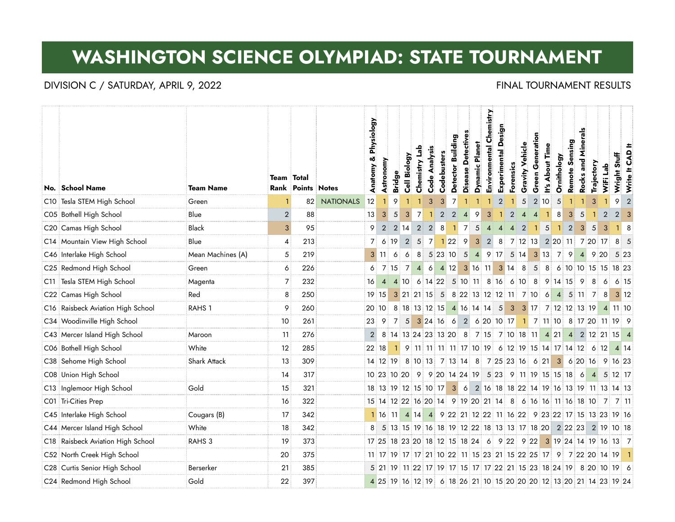# **WASHINGTON SCIENCE OLYMPIAD: STATE TOURNAMENT**

### DIVISION C / SATURDAY, APRIL 9, 2022 **FINAL TOURNAMENT RESULTS**

|     |                                   |                   |                   |                          |                  | & Physiology   |                |                |                |                |                |                                                     | Building        |                    |                       | Environmental Chemistry | Experimental Design |                |                           | Generation     |                                            |             | Sensing        | Minerals  |                                                                    |           |                | 丰              |
|-----|-----------------------------------|-------------------|-------------------|--------------------------|------------------|----------------|----------------|----------------|----------------|----------------|----------------|-----------------------------------------------------|-----------------|--------------------|-----------------------|-------------------------|---------------------|----------------|---------------------------|----------------|--------------------------------------------|-------------|----------------|-----------|--------------------------------------------------------------------|-----------|----------------|----------------|
|     | No. School Name                   | <b>Team Name</b>  | <b>Team</b> Total | <b>Rank Points Notes</b> |                  | Anatomy        | Astronomy      | <b>Bridge</b>  | Cell Biology   | Chemistry Lab  | Code Analysis  | Codebusters                                         | <b>Detector</b> | Disease Detectives | <b>Dynamic Planet</b> |                         |                     | Forensics      | Gravity Vehicle           | Green          | <b>About Time</b><br>$\stackrel{\circ}{=}$ | Ornithology | Remote         | Rocks and | Trajectory                                                         | WiFi Lab  | Wright Stuff   | Write It CAD   |
|     | C10 Tesla STEM High School        | Green             |                   | 82                       | <b>NATIONALS</b> | 12             | $\mathbf{1}$   | 9              |                |                | 3              | 3                                                   | $\overline{7}$  |                    |                       |                         | $\overline{2}$      |                | 5                         |                | 2 10                                       | 5           |                |           | 3                                                                  |           | 9              | $\overline{2}$ |
|     | C05 Bothell High School           | Blue              | $\mathbf{2}$      | 88                       |                  | 13             | $\overline{3}$ | 5              | $\overline{3}$ | $\overline{7}$ |                | 2                                                   | $\overline{2}$  | $\overline{4}$     | 9                     | 3                       |                     | $\overline{2}$ | $\boldsymbol{\varLambda}$ | $\overline{4}$ |                                            | 8           | 3              | 5         |                                                                    | 2         | 2              | 3              |
|     | C20 Camas High School             | <b>Black</b>      | 3 <sup>1</sup>    | 95                       |                  | 9              | $\overline{2}$ | $\overline{2}$ | 14             | $\overline{2}$ | $\overline{2}$ | 8                                                   | $\overline{1}$  | $\overline{7}$     | 5                     | $\overline{4}$          | $\overline{4}$      | $\overline{4}$ | $\overline{2}$            | $\mathbf{1}$   | 5                                          |             | $\overline{2}$ | 3         | 5                                                                  | 3         | $1 \quad 8$    |                |
|     | C14 Mountain View High School     | Blue              | $\overline{4}$    | 213                      |                  |                |                | 6:19           | $\overline{2}$ | 5 <sup>1</sup> |                | 7 1 22 9                                            |                 |                    |                       |                         |                     |                |                           |                |                                            |             |                |           | 3 2 8 7 12 13 2 20 11 7 20 17                                      |           | 8 <sub>5</sub> |                |
|     | C46 Interlake High School         | Mean Machines (A) | 5                 | 219                      |                  | 3 <sup>1</sup> | 11             | 6              | 6              | 8              |                | 5 23 10                                             |                 | $5\overline{)}$    |                       | 4 9 17 5 14             |                     |                |                           |                |                                            | 3 13 7 9    |                |           | 4 9 20                                                             |           | 5 23           |                |
|     | C25 Redmond High School           | Green             | 6                 | 226                      |                  | 6              |                | 7:15           | $\overline{7}$ | $\vert$ 4      | 6              | 4 12                                                |                 |                    |                       | 3 16 11 3 14 8          |                     |                |                           |                |                                            |             |                |           | 5 8 6 10 10 15 15 18 23                                            |           |                |                |
|     | C11 Tesla STEM High School        | Magenta           | 7                 | 232                      |                  | 16             | $\overline{4}$ |                |                |                |                | 4 10 6 14 22 5 10 11 8 16 6 10 8 9 14 15 9          |                 |                    |                       |                         |                     |                |                           |                |                                            |             |                |           | 8:                                                                 | 6         | 6:15           |                |
|     | C22 Camas High School             | Red               | 8                 | 250                      |                  | <b>19</b>      | 15             |                |                |                |                |                                                     |                 |                    |                       |                         |                     |                |                           |                |                                            |             |                |           | 3 21 21 15 5 8 22 13 12 12 11 7 10 6 4 5 11 7                      | - 8       | $3 \mid 12$    |                |
|     | C16 Raisbeck Aviation High School | RAHS <sub>1</sub> | 9                 | 260                      |                  |                | 20 10          |                |                |                | 8 18 13 12 15  |                                                     |                 |                    |                       |                         |                     |                |                           |                |                                            |             |                |           | 4 16 14 14 5 3 3 17 7 12 12 13 19 4 11 10                          |           |                |                |
|     | C34 Woodinville High School       |                   | 10                | 261                      |                  | 23             | 9              |                | 7 5            |                |                | 3 24 16 6                                           |                 |                    |                       |                         |                     |                |                           |                |                                            |             |                |           | 2 6 20 10 17 1 7 11 10 8 17 20 11 19 9                             |           |                |                |
|     | C43 Mercer Island High School     | Maroon            | 11                | 276                      |                  | 2 <sup>1</sup> |                |                |                |                |                |                                                     |                 |                    |                       |                         |                     |                |                           |                |                                            |             |                |           | 8 14 13 24 23 13 20 8 7 15 7 10 18 11 4 21 4 2 12 21 15 4          |           |                |                |
|     | C06 Bothell High School           | White             | 12                | 285                      |                  |                | 22 18          |                |                |                |                |                                                     |                 |                    |                       |                         |                     |                |                           |                |                                            |             |                |           | 9 11 11 11 11 17 10 19 6 12 19 15 14 17 14 12 6 12                 |           | 4 14           |                |
|     | C38 Sehome High School            | Shark Attack      | 13                | 309                      |                  |                | 14 12 19       |                |                |                |                |                                                     |                 |                    |                       |                         |                     |                |                           |                |                                            |             |                |           | 3 6 20 16 9 16 23                                                  |           |                |                |
|     | C08 Union High School             |                   | 14                | 317                      |                  |                |                |                |                |                |                | 10 23 10 20 9 9 20 14 24 19 5 23 9 11 19 15 15 18 6 |                 |                    |                       |                         |                     |                |                           |                |                                            |             |                |           |                                                                    | 4 5 12 17 |                |                |
|     | C13 Inglemoor High School         | Gold              | 15                | 321                      |                  |                |                |                |                |                |                |                                                     |                 |                    |                       |                         |                     |                |                           |                |                                            |             |                |           | 18 13 19 12 15 10 17 3 6 2 16 18 18 22 14 19 16 13 19 11 13 14 13  |           |                |                |
|     | C01 Tri-Cities Prep               |                   | 16                | 322                      |                  |                |                |                |                |                |                |                                                     |                 |                    |                       |                         |                     |                |                           |                |                                            |             |                |           | 15 14 12 22 16 20 14 9 19 20 21 14 8 6 16 16 11 16 18 10 7         |           | 7 11           |                |
|     | C45 Interlake High School         | Cougars (B)       | 17                | 342                      |                  |                |                |                |                |                |                |                                                     |                 |                    |                       |                         |                     |                |                           |                |                                            |             |                |           | 1 16 11 4 14 4 9 22 21 12 22 11 16 22 9 23 22 17 15 13 23 19 16    |           |                |                |
|     | C44 Mercer Island High School     | White             | 18                | 342                      |                  |                |                |                |                |                |                |                                                     |                 |                    |                       |                         |                     |                |                           |                |                                            |             |                |           | 5 13 15 19 16 18 19 12 22 18 13 13 17 18 20 2 22 23 2 19 10 18     |           |                |                |
| C18 | Raisbeck Aviation High School     | RAHS <sub>3</sub> | 19                | 373                      |                  |                |                |                |                |                |                |                                                     |                 |                    |                       |                         |                     |                |                           |                |                                            |             |                |           | 17 25 18 23 20 18 12 15 18 24 6 9 22 9 22 3 19 24 14 19 16 13 7    |           |                |                |
|     | C52 North Creek High School       |                   | 20                | 375                      |                  |                |                |                |                |                |                |                                                     |                 |                    |                       |                         |                     |                |                           |                |                                            |             |                |           | 11 17 19 17 17 21 10 22 11 15 23 21 15 22 25 17 9 7 22 20 14 19    |           |                | - 11           |
|     | C28 Curtis Senior High School     | Berserker         | 21                | 385                      |                  |                |                |                |                |                |                |                                                     |                 |                    |                       |                         |                     |                |                           |                |                                            |             |                |           | 5 21 19 11 22 17 19 17 15 17 17 22 21 15 23 18 24 19 8 20 10 19 6  |           |                |                |
|     | C24 Redmond High School           | Gold              | 22                | 397                      |                  |                |                |                |                |                |                |                                                     |                 |                    |                       |                         |                     |                |                           |                |                                            |             |                |           | 4 25 19 16 12 19 6 18 26 21 10 15 20 20 20 12 13 20 21 14 23 19 24 |           |                |                |